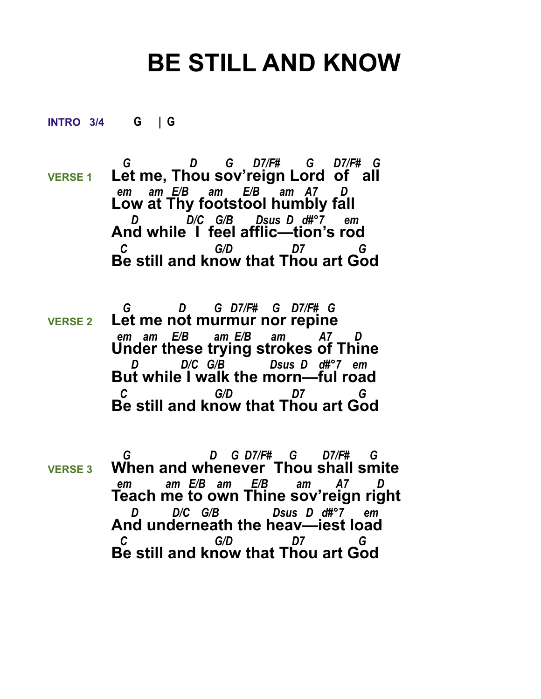## **BE STILL AND KNOW**

**INTRO 3/4 G | G** 

 *G D G D7/F# G D7/F# G*  **VERSE 1 Let me, Thou sov'reign Lord of all**  *em am E/B am E/B am A7 D* **Low at Thy footstool humbly fall**  *D D/C G/B Dsus D d#°7 em*  **And while I feel afflic—tion's rod**  *C G/D D7 G*  **Be still and know that Thou art God**

 *G D G D7/F# G D7/F# G*  **VERSE 2 Let me not murmur nor repine**  *em am E/B am E/B am A7 D* **Under these trying strokes of Thine**<br>Dic G/B Dus D d#°7 em  *D D/C G/B Dsus D d#°7 em*  **But while I walk the morn—ful road**  *C G/D D7 G*  **Be still and know that Thou art God**

 *G D G D7/F# G D7/F# G*  **VERSE 3 When and whenever Thou shall smite**  *em am E/B am E/B am A7 D* **Teach me to own Thine sov'reign right**  *D D/C G/B Dsus D d#°7 em*  **And underneath the heav—iest load**  *C G/D D7 G*  **Be still and know that Thou art God**